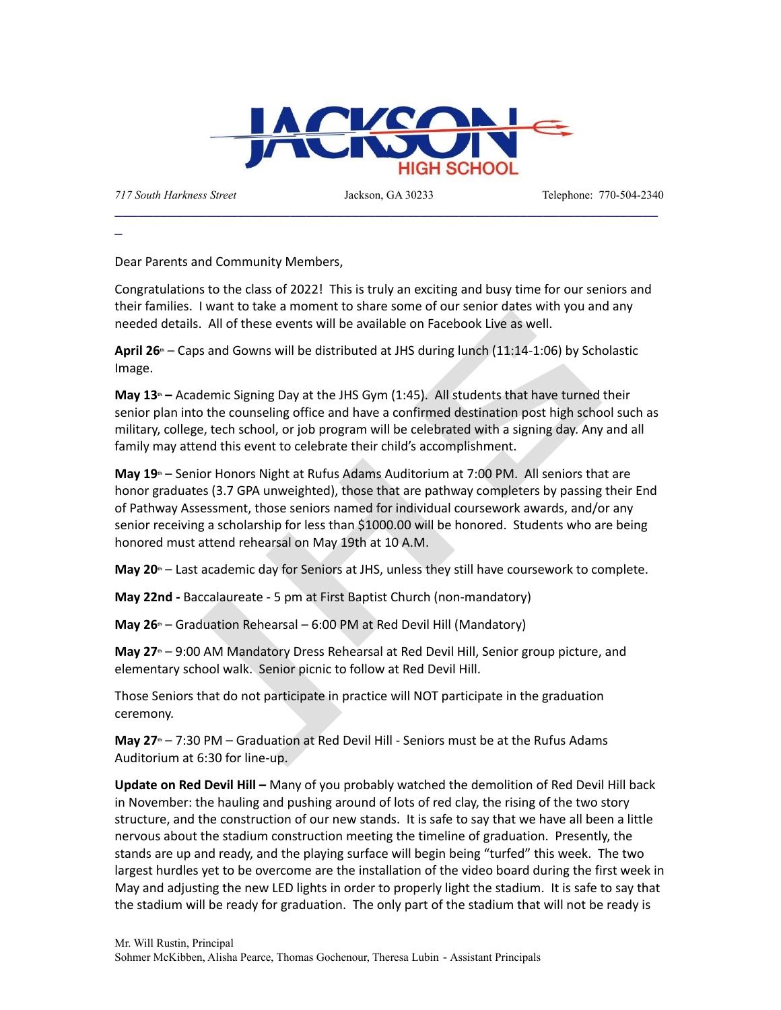

*717 South Harkness Street* Jackson, GA 30233 Telephone: 770-504-2340

 $\overline{\phantom{a}}$  , and the contract of the contract of the contract of the contract of the contract of the contract of the contract of the contract of the contract of the contract of the contract of the contract of the contrac

\_

Dear Parents and Community Members,

Congratulations to the class of 2022! This is truly an exciting and busy time for our seniors and their families. I want to take a moment to share some of our senior dates with you and any needed details. All of these events will be available on Facebook Live as well.

April 26<sup>**b**</sup> – Caps and Gowns will be distributed at JHS during lunch (11:14-1:06) by Scholastic Image.

**May 13<sup>***<b>h* **–** Academic Signing Day at the JHS Gym (1:45). All students that have turned their</sup> senior plan into the counseling office and have a confirmed destination post high school such as military, college, tech school, or job program will be celebrated with a signing day. Any and all family may attend this event to celebrate their child's accomplishment.

etails. All of these events will be available on Facebook Live as well.<br>The disk and Comes a moment counter of the calibation of the capital of these events will be distributed at JHS during lunch (11:14-1:06) by Schremic **May 19**<sup>**th**</sup> – Senior Honors Night at Rufus Adams Auditorium at 7:00 PM. All seniors that are honor graduates (3.7 GPA unweighted), those that are pathway completers by passing their End of Pathway Assessment, those seniors named for individual coursework awards, and/or any senior receiving a scholarship for less than \$1000.00 will be honored. Students who are being honored must attend rehearsal on May 19th at 10 A.M.

**May 20<sup>***th***</sup> – Last academic day for Seniors at JHS, unless they still have coursework to complete.** 

**May 22nd -** Baccalaureate - 5 pm at First Baptist Church (non-mandatory)

**May 26<sup>***th***</sup>** – Graduation Rehearsal – 6:00 PM at Red Devil Hill (Mandatory)

May 27<sup>**b**</sup> – 9:00 AM Mandatory Dress Rehearsal at Red Devil Hill, Senior group picture, and elementary school walk. Senior picnic to follow at Red Devil Hill.

Those Seniors that do not participate in practice will NOT participate in the graduation ceremony.

**May 27<sup>***th***</sup> – 7:30 PM – Graduation at Red Devil Hill - Seniors must be at the Rufus Adams** Auditorium at 6:30 for line-up.

**Update on Red Devil Hill –** Many of you probably watched the demolition of Red Devil Hill back in November: the hauling and pushing around of lots of red clay, the rising of the two story structure, and the construction of our new stands. It is safe to say that we have all been a little nervous about the stadium construction meeting the timeline of graduation. Presently, the stands are up and ready, and the playing surface will begin being "turfed" this week. The two largest hurdles yet to be overcome are the installation of the video board during the first week in May and adjusting the new LED lights in order to properly light the stadium. It is safe to say that the stadium will be ready for graduation. The only part of the stadium that will not be ready is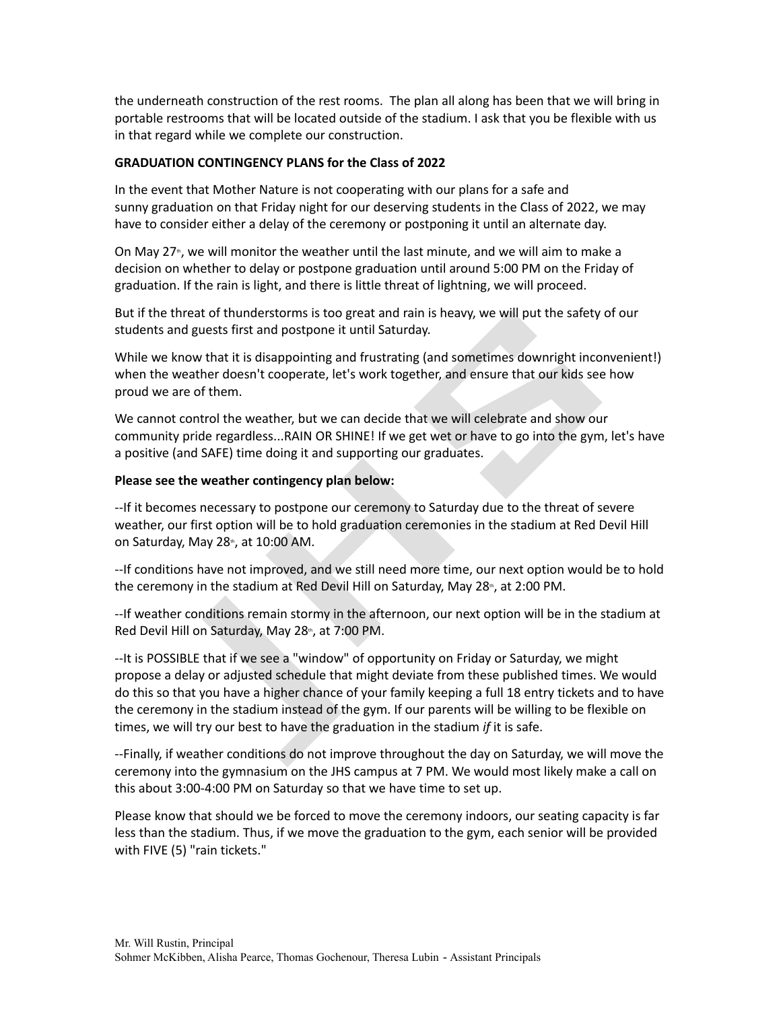the underneath construction of the rest rooms. The plan all along has been that we will bring in portable restrooms that will be located outside of the stadium. I ask that you be flexible with us in that regard while we complete our construction.

## **GRADUATION CONTINGENCY PLANS for the Class of 2022**

In the event that Mother Nature is not cooperating with our plans for a safe and sunny graduation on that Friday night for our deserving students in the Class of 2022, we may have to consider either a delay of the ceremony or postponing it until an alternate day.

On May  $27<sup>*</sup>$ , we will monitor the weather until the last minute, and we will aim to make a decision on whether to delay or postpone graduation until around 5:00 PM on the Friday of graduation. If the rain is light, and there is little threat of lightning, we will proceed.

But if the threat of thunderstorms is too great and rain is heavy, we will put the safety of our students and guests first and postpone it until Saturday.

While we know that it is disappointing and frustrating (and sometimes downright inconvenient!) when the weather doesn't cooperate, let's work together, and ensure that our kids see how proud we are of them.

We cannot control the weather, but we can decide that we will celebrate and show our community pride regardless...RAIN OR SHINE! If we get wet or have to go into the gym, let's have a positive (and SAFE) time doing it and supporting our graduates.

## **Please see the weather contingency plan below:**

--If it becomes necessary to postpone our ceremony to Saturday due to the threat of severe weather, our first option will be to hold graduation ceremonies in the stadium at Red Devil Hill on Saturday, May  $28<sup>th</sup>$ , at  $10:00$  AM.

--If conditions have not improved, and we still need more time, our next option would be to hold the ceremony in the stadium at Red Devil Hill on Saturday, May 28<sup>th</sup>, at 2:00 PM.

--If weather conditions remain stormy in the afternoon, our next option will be in the stadium at Red Devil Hill on Saturday, May 28<sup>th</sup>, at 7:00 PM.

threat of thunderstorms is too great and rain is heavy, we will put the safety<br>and guests first and postpone it until Saturday.<br>Mow that it is disappointing and frustrating (and sometimes downright inco<br>weather doesn't coo --It is POSSIBLE that if we see a "window" of opportunity on Friday or Saturday, we might propose a delay or adjusted schedule that might deviate from these published times. We would do this so that you have a higher chance of your family keeping a full 18 entry tickets and to have the ceremony in the stadium instead of the gym. If our parents will be willing to be flexible on times, we will try our best to have the graduation in the stadium *if* it is safe.

--Finally, if weather conditions do not improve throughout the day on Saturday, we will move the ceremony into the gymnasium on the JHS campus at 7 PM. We would most likely make a call on this about 3:00-4:00 PM on Saturday so that we have time to set up.

Please know that should we be forced to move the ceremony indoors, our seating capacity is far less than the stadium. Thus, if we move the graduation to the gym, each senior will be provided with FIVE (5) "rain tickets."